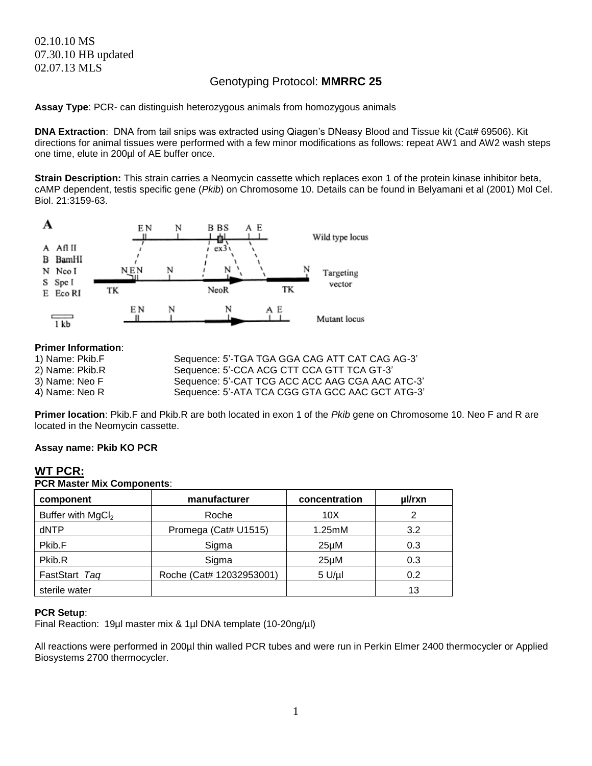# 02.10.10 MS 07.30.10 HB updated 02.07.13 MLS

# Genotyping Protocol: **MMRRC 25**

**Assay Type**: PCR- can distinguish heterozygous animals from homozygous animals

**DNA Extraction**: DNA from tail snips was extracted using Qiagen's DNeasy Blood and Tissue kit (Cat# 69506). Kit directions for animal tissues were performed with a few minor modifications as follows: repeat AW1 and AW2 wash steps one time, elute in 200µl of AE buffer once.

**Strain Description:** This strain carries a Neomycin cassette which replaces exon 1 of the protein kinase inhibitor beta, cAMP dependent, testis specific gene (*Pkib*) on Chromosome 10. Details can be found in Belyamani et al (2001) Mol Cel. Biol. 21:3159-63.



### **Primer Information**:

| 1) Name: Pkib.F | Sequence: 5'-TGA TGA GGA CAG ATT CAT CAG AG-3'  |
|-----------------|-------------------------------------------------|
| 2) Name: Pkib.R | Sequence: 5'-CCA ACG CTT CCA GTT TCA GT-3'      |
| 3) Name: Neo F  | Sequence: 5'-CAT TCG ACC ACC AAG CGA AAC ATC-3' |
| 4) Name: Neo R  | Sequence: 5'-ATA TCA CGG GTA GCC AAC GCT ATG-3' |

**Primer location**: Pkib.F and Pkib.R are both located in exon 1 of the *Pkib* gene on Chromosome 10. Neo F and R are located in the Neomycin cassette.

#### **Assay name: Pkib KO PCR**

# **WT PCR:**

**PCR Master Mix Components**: **component manufacturer concentration µl/rxn** Buffer with MgCl<sub>2</sub> Noche 10X 2 dNTP | Promega (Cat# U1515) | 1.25mM | 3.2 Pkib.F | Sigma | 25µM 0.3 Pkib.R Sigma | 25µM | 0.3 FastStart *Taq* Roche (Cat# 12032953001) 5 U/µl 0.2 sterile water **13** and 13 and 13 and 13 and 13 and 13 and 13 and 13 and 13 and 13 and 13 and 13 and 13 and 13 and 13 and 13 and 13 and 13 and 13 and 13 and 13 and 13 and 13 and 13 and 13 and 13 and 13 and 13 and 13 and 13

#### **PCR Setup**:

Final Reaction: 19µl master mix & 1µl DNA template (10-20ng/µl)

All reactions were performed in 200µl thin walled PCR tubes and were run in Perkin Elmer 2400 thermocycler or Applied Biosystems 2700 thermocycler.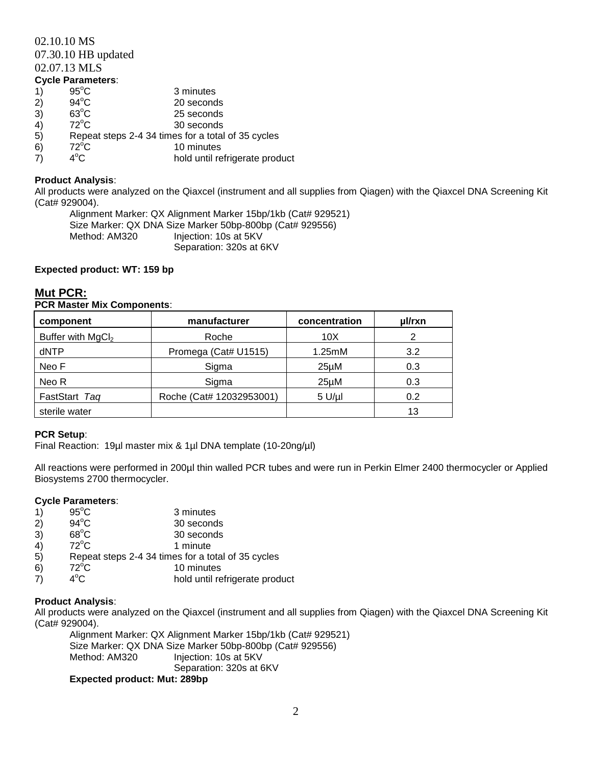### 02.10.10 MS

07.30.10 HB updated

02.07.13 MLS

- **Cycle Parameters**: 1)  $95^{\circ}$ C 3 minutes 2)  $94^{\circ}$ C 20 seconds  $3)$  63<sup>°</sup>C 25 seconds 4)  $72^{\circ}$ C 30 seconds 5) Repeat steps 2-4 34 times for a total of 35 cycles  $72^{\circ}$ C 10 minutes<br>  $72^{\circ}$ C 10 minutes<br>  $72^{\circ}$ C hold until re
- 7) hold until refrigerate product

# **Product Analysis**:

All products were analyzed on the Qiaxcel (instrument and all supplies from Qiagen) with the Qiaxcel DNA Screening Kit (Cat# 929004).

Alignment Marker: QX Alignment Marker 15bp/1kb (Cat# 929521) Size Marker: QX DNA Size Marker 50bp-800bp (Cat# 929556) Method: AM320 Injection: 10s at 5KV Separation: 320s at 6KV

# **Expected product: WT: 159 bp**

# **Mut PCR:**

### **PCR Master Mix Components**:

| component                     | manufacturer             | concentration     | ul/rxn |
|-------------------------------|--------------------------|-------------------|--------|
| Buffer with MgCl <sub>2</sub> | Roche                    | 10 <sub>X</sub>   |        |
| dNTP                          | Promega (Cat# U1515)     | 1.25mM            | 3.2    |
| Neo F                         | Sigma                    | $25\mu$ M         | 0.3    |
| Neo R                         | Sigma                    | 25 <sub>µ</sub> M | 0.3    |
| FastStart Tag                 | Roche (Cat# 12032953001) | $5$ U/ $\mu$ I    | 0.2    |
| sterile water                 |                          |                   | 13     |

# **PCR Setup**:

Final Reaction: 19µl master mix & 1µl DNA template (10-20ng/µl)

All reactions were performed in 200µl thin walled PCR tubes and were run in Perkin Elmer 2400 thermocycler or Applied Biosystems 2700 thermocycler.

#### **Cycle Parameters**:

- 1)  $95^{\circ}$ C 3 minutes<br>2)  $94^{\circ}$ C 30 second
- 2)  $94^{\circ}$ C 30 seconds
- 3)  $68^{\circ}$ C 30 seconds
- 4)  $72^{\circ}$ C 1 minute
- 5) Repeat steps 2-4 34 times for a total of 35 cycles
- 6)  $72^{\circ}$ C 10 minutes
- 7)  $4^{\circ}$ C hold until refrigerate product

# **Product Analysis**:

All products were analyzed on the Qiaxcel (instrument and all supplies from Qiagen) with the Qiaxcel DNA Screening Kit (Cat# 929004).

Alignment Marker: QX Alignment Marker 15bp/1kb (Cat# 929521) Size Marker: QX DNA Size Marker 50bp-800bp (Cat# 929556) Method: AM320 Injection: 10s at 5KV Separation: 320s at 6KV

#### **Expected product: Mut: 289bp**